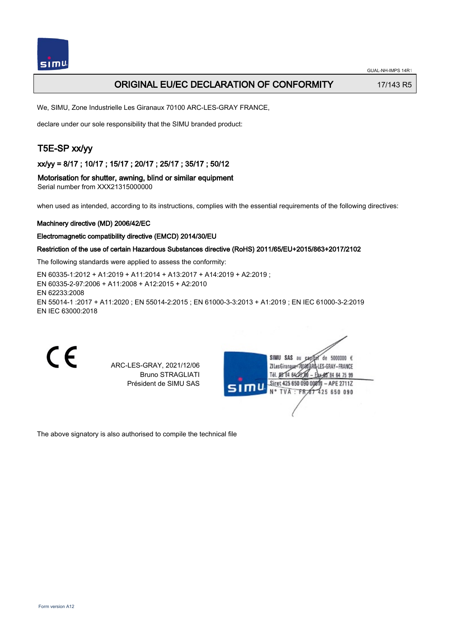

## ORIGINAL EU/EC DECLARATION OF CONFORMITY 17/143 R5

We, SIMU, Zone Industrielle Les Giranaux 70100 ARC-LES-GRAY FRANCE,

declare under our sole responsibility that the SIMU branded product:

# T5E-SP xx/yy

xx/yy = 8/17 ; 10/17 ; 15/17 ; 20/17 ; 25/17 ; 35/17 ; 50/12

Motorisation for shutter, awning, blind or similar equipment Serial number from XXX21315000000

when used as intended, according to its instructions, complies with the essential requirements of the following directives:

#### Machinery directive (MD) 2006/42/EC

#### Electromagnetic compatibility directive (EMCD) 2014/30/EU

### Restriction of the use of certain Hazardous Substances directive (RoHS) 2011/65/EU+2015/863+2017/2102

The following standards were applied to assess the conformity:

EN 60335‑1:2012 + A1:2019 + A11:2014 + A13:2017 + A14:2019 + A2:2019 ; EN 60335‑2‑97:2006 + A11:2008 + A12:2015 + A2:2010 EN 62233:2008 EN 55014‑1 :2017 + A11:2020 ; EN 55014‑2:2015 ; EN 61000‑3‑3:2013 + A1:2019 ; EN IEC 61000‑3‑2:2019 EN IEC 63000:2018

C E

ARC-LES-GRAY, 2021/12/06 Bruno STRAGLIATI Président de SIMU SAS

ue 242 IIMI2 de 5000000  $\epsilon$ ZI Les Giranaux</DJ80AI -LES-GRAY-FRANCE Tél. 08 84 64 28 64 75 99 Siret 425 650 090 00811  $-$  APE 2711Z TVA FR 67 425 650 090

The above signatory is also authorised to compile the technical file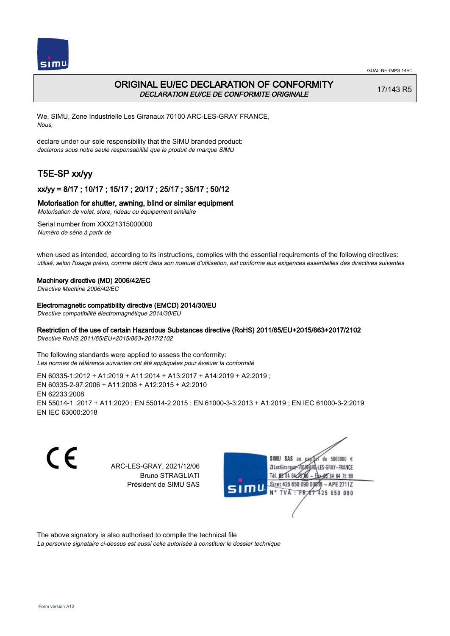

# ORIGINAL EU/EC DECLARATION OF CONFORMITY DECLARATION EU/CE DE CONFORMITE ORIGINALE

17/143 R5

We, SIMU, Zone Industrielle Les Giranaux 70100 ARC-LES-GRAY FRANCE, Nous,

declare under our sole responsibility that the SIMU branded product: declarons sous notre seule responsabilité que le produit de marque SIMU

# T5E-SP xx/yy

## xx/yy = 8/17 ; 10/17 ; 15/17 ; 20/17 ; 25/17 ; 35/17 ; 50/12

### Motorisation for shutter, awning, blind or similar equipment

Motorisation de volet, store, rideau ou équipement similaire

Serial number from XXX21315000000 Numéro de série à partir de

when used as intended, according to its instructions, complies with the essential requirements of the following directives: utilisé, selon l'usage prévu, comme décrit dans son manuel d'utilisation, est conforme aux exigences essentielles des directives suivantes

### Machinery directive (MD) 2006/42/EC

Directive Machine 2006/42/EC

Electromagnetic compatibility directive (EMCD) 2014/30/EU

Directive compatibilité électromagnétique 2014/30/EU

### Restriction of the use of certain Hazardous Substances directive (RoHS) 2011/65/EU+2015/863+2017/2102

Directive RoHS 2011/65/EU+2015/863+2017/2102

The following standards were applied to assess the conformity: Les normes de référence suivantes ont été appliquées pour évaluer la conformité

EN 60335‑1:2012 + A1:2019 + A11:2014 + A13:2017 + A14:2019 + A2:2019 ; EN 60335‑2‑97:2006 + A11:2008 + A12:2015 + A2:2010 EN 62233:2008 EN 55014‑1 :2017 + A11:2020 ; EN 55014‑2:2015 ; EN 61000‑3‑3:2013 + A1:2019 ; EN IEC 61000‑3‑2:2019 EN IEC 63000:2018

C E SIMU SAS au ARC-LES-GRAY, 2021/12/06 71 les Giranaux</r01 Bruno STRAGLIATI TH DR R4 642 Président de SIMU SAS **TVA FR** 

 $de$  5000000  $f$ LES-GRAY-FRANCE 64 75 99 Siret 425 650 090 0081  $-$  APE 2711Z 425 650 090

The above signatory is also authorised to compile the technical file

La personne signataire ci-dessus est aussi celle autorisée à constituer le dossier technique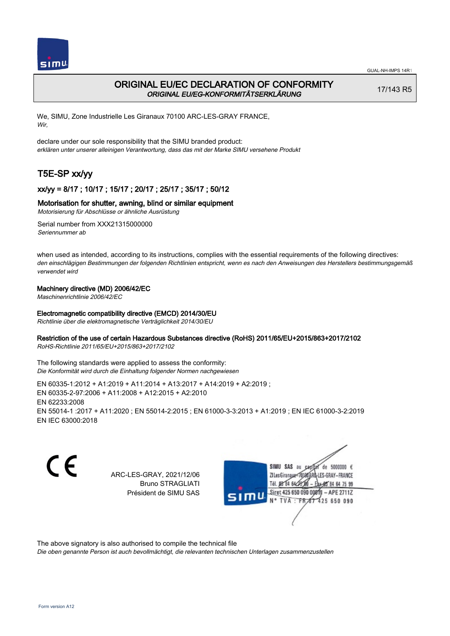

# ORIGINAL EU/EC DECLARATION OF CONFORMITY ORIGINAL EU/EG-KONFORMITÄTSERKLÄRUNG

17/143 R5

We, SIMU, Zone Industrielle Les Giranaux 70100 ARC-LES-GRAY FRANCE, Wir,

declare under our sole responsibility that the SIMU branded product: erklären unter unserer alleinigen Verantwortung, dass das mit der Marke SIMU versehene Produkt

# T5E-SP xx/yy

## xx/yy = 8/17 ; 10/17 ; 15/17 ; 20/17 ; 25/17 ; 35/17 ; 50/12

### Motorisation for shutter, awning, blind or similar equipment

Motorisierung für Abschlüsse or ähnliche Ausrüstung

Serial number from XXX21315000000 Seriennummer ab

when used as intended, according to its instructions, complies with the essential requirements of the following directives: den einschlägigen Bestimmungen der folgenden Richtlinien entspricht, wenn es nach den Anweisungen des Herstellers bestimmungsgemäß verwendet wird

### Machinery directive (MD) 2006/42/EC

Maschinenrichtlinie 2006/42/EC

### Electromagnetic compatibility directive (EMCD) 2014/30/EU

Richtlinie über die elektromagnetische Verträglichkeit 2014/30/EU

### Restriction of the use of certain Hazardous Substances directive (RoHS) 2011/65/EU+2015/863+2017/2102

RoHS-Richtlinie 2011/65/EU+2015/863+2017/2102

The following standards were applied to assess the conformity: Die Konformität wird durch die Einhaltung folgender Normen nachgewiesen

EN 60335‑1:2012 + A1:2019 + A11:2014 + A13:2017 + A14:2019 + A2:2019 ; EN 60335‑2‑97:2006 + A11:2008 + A12:2015 + A2:2010 EN 62233:2008 EN 55014‑1 :2017 + A11:2020 ; EN 55014‑2:2015 ; EN 61000‑3‑3:2013 + A1:2019 ; EN IEC 61000‑3‑2:2019 EN IEC 63000:2018

CE

ARC-LES-GRAY, 2021/12/06 Bruno STRAGLIATI Président de SIMU SAS



The above signatory is also authorised to compile the technical file

Die oben genannte Person ist auch bevollmächtigt, die relevanten technischen Unterlagen zusammenzustellen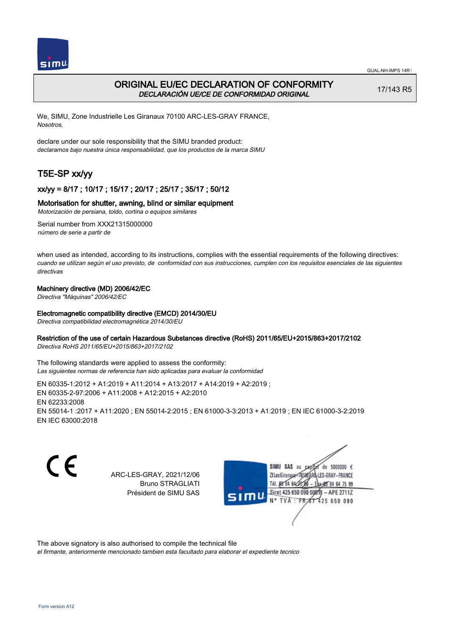



# ORIGINAL EU/EC DECLARATION OF CONFORMITY DECLARACIÓN UE/CE DE CONFORMIDAD ORIGINAL

17/143 R5

We, SIMU, Zone Industrielle Les Giranaux 70100 ARC-LES-GRAY FRANCE, Nosotros,

declare under our sole responsibility that the SIMU branded product: declaramos bajo nuestra única responsabilidad, que los productos de la marca SIMU

# T5E-SP xx/yy

## xx/yy = 8/17 ; 10/17 ; 15/17 ; 20/17 ; 25/17 ; 35/17 ; 50/12

### Motorisation for shutter, awning, blind or similar equipment

Motorización de persiana, toldo, cortina o equipos similares

Serial number from XXX21315000000 número de serie a partir de

when used as intended, according to its instructions, complies with the essential requirements of the following directives: cuando se utilizan según el uso previsto, de conformidad con sus instrucciones, cumplen con los requisitos esenciales de las siguientes directivas

### Machinery directive (MD) 2006/42/EC

Directiva "Máquinas" 2006/42/EC

### Electromagnetic compatibility directive (EMCD) 2014/30/EU

Directiva compatibilidad electromagnética 2014/30/EU

### Restriction of the use of certain Hazardous Substances directive (RoHS) 2011/65/EU+2015/863+2017/2102

Directiva RoHS 2011/65/EU+2015/863+2017/2102

The following standards were applied to assess the conformity: Las siguientes normas de referencia han sido aplicadas para evaluar la conformidad

EN 60335‑1:2012 + A1:2019 + A11:2014 + A13:2017 + A14:2019 + A2:2019 ; EN 60335‑2‑97:2006 + A11:2008 + A12:2015 + A2:2010 EN 62233:2008 EN 55014‑1 :2017 + A11:2020 ; EN 55014‑2:2015 ; EN 61000‑3‑3:2013 + A1:2019 ; EN IEC 61000‑3‑2:2019 EN IEC 63000:2018

CE

ARC-LES-GRAY, 2021/12/06 Bruno STRAGLIATI Président de SIMU SAS



The above signatory is also authorised to compile the technical file

el firmante, anteriormente mencionado tambien esta facultado para elaborar el expediente tecnico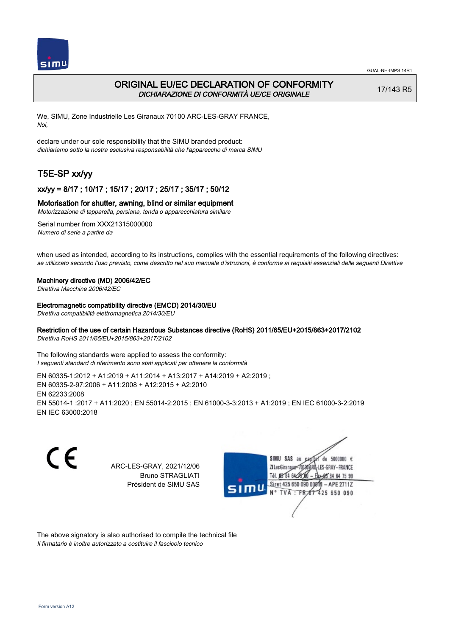

## ORIGINAL EU/EC DECLARATION OF CONFORMITY DICHIARAZIONE DI CONFORMITÀ UE/CE ORIGINALE

17/143 R5

We, SIMU, Zone Industrielle Les Giranaux 70100 ARC-LES-GRAY FRANCE, Noi,

declare under our sole responsibility that the SIMU branded product: dichiariamo sotto la nostra esclusiva responsabilità che l'appareccho di marca SIMU

# T5E-SP xx/yy

### xx/yy = 8/17 ; 10/17 ; 15/17 ; 20/17 ; 25/17 ; 35/17 ; 50/12

#### Motorisation for shutter, awning, blind or similar equipment

Motorizzazione di tapparella, persiana, tenda o apparecchiatura similare

Serial number from XXX21315000000 Numero di serie a partire da

when used as intended, according to its instructions, complies with the essential requirements of the following directives: se utilizzato secondo l'uso previsto, come descritto nel suo manuale d'istruzioni, è conforme ai requisiti essenziali delle seguenti Direttive

#### Machinery directive (MD) 2006/42/EC

Direttiva Macchine 2006/42/EC

#### Electromagnetic compatibility directive (EMCD) 2014/30/EU

Direttiva compatibilità elettromagnetica 2014/30/EU

### Restriction of the use of certain Hazardous Substances directive (RoHS) 2011/65/EU+2015/863+2017/2102

Direttiva RoHS 2011/65/EU+2015/863+2017/2102

The following standards were applied to assess the conformity: I seguenti standard di riferimento sono stati applicati per ottenere la conformità

EN 60335‑1:2012 + A1:2019 + A11:2014 + A13:2017 + A14:2019 + A2:2019 ; EN 60335‑2‑97:2006 + A11:2008 + A12:2015 + A2:2010 EN 62233:2008 EN 55014‑1 :2017 + A11:2020 ; EN 55014‑2:2015 ; EN 61000‑3‑3:2013 + A1:2019 ; EN IEC 61000‑3‑2:2019 EN IEC 63000:2018

C E ARC-LES-GRAY, 2021/12/06 Bruno STRAGLIATI Président de SIMU SAS



The above signatory is also authorised to compile the technical file Il firmatario è inoltre autorizzato a costituire il fascicolo tecnico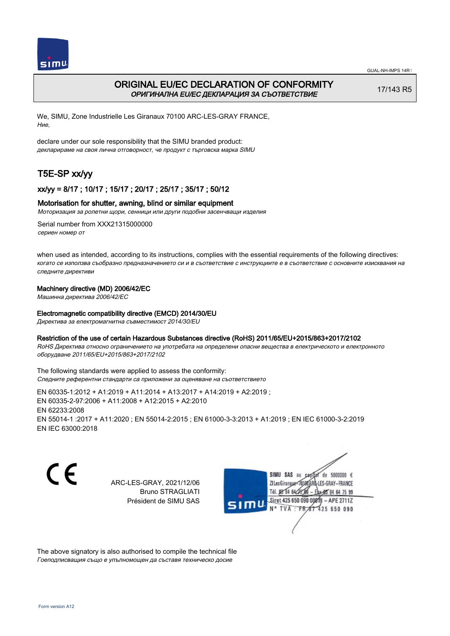

# ORIGINAL EU/EC DECLARATION OF CONFORMITY ОРИГИНАЛНА EU/EC ДЕКЛАРАЦИЯ ЗА СЪОТВЕТСТВИЕ

17/143 R5

We, SIMU, Zone Industrielle Les Giranaux 70100 ARC-LES-GRAY FRANCE, Ние,

declare under our sole responsibility that the SIMU branded product: декларираме на своя лична отговорност, че продукт с търговска марка SIMU

# T5E-SP xx/yy

### xx/yy = 8/17 ; 10/17 ; 15/17 ; 20/17 ; 25/17 ; 35/17 ; 50/12

### Motorisation for shutter, awning, blind or similar equipment

Моторизация за ролетни щори, сенници или други подобни засенчващи изделия

Serial number from XXX21315000000 сериен номер от

when used as intended, according to its instructions, complies with the essential requirements of the following directives: когато се използва съобразно предназначението си и в съответствие с инструкциите е в съответствие с основните изисквания на следните директиви

### Machinery directive (MD) 2006/42/EC

Машинна директива 2006/42/EC

### Electromagnetic compatibility directive (EMCD) 2014/30/EU

Директива за електромагнитна съвместимост 2014/30/EU

### Restriction of the use of certain Hazardous Substances directive (RoHS) 2011/65/EU+2015/863+2017/2102

RoHS Директива относно ограничението на употребата на определени опасни вещества в електрическото и електронното оборудване 2011/65/EU+2015/863+2017/2102

The following standards were applied to assess the conformity: Следните референтни стандарти са приложени за оценяване на съответствието

EN 60335‑1:2012 + A1:2019 + A11:2014 + A13:2017 + A14:2019 + A2:2019 ; EN 60335‑2‑97:2006 + A11:2008 + A12:2015 + A2:2010 EN 62233:2008 EN 55014‑1 :2017 + A11:2020 ; EN 55014‑2:2015 ; EN 61000‑3‑3:2013 + A1:2019 ; EN IEC 61000‑3‑2:2019 EN IEC 63000:2018

C E

ARC-LES-GRAY, 2021/12/06 Bruno STRAGLIATI Président de SIMU SAS

SIMU SAS au  $cardiz$  de 5000000  $\epsilon$ LES-GRAY-FRANCE ZI Les Giranaux</DJ80AF Tél. 08 84 64 28 85 84 64 75 99 Siret 425 650 090 008TV  $-$  APE 2711Z N° TVA : FRAT 425 650 090

The above signatory is also authorised to compile the technical file Гоеподписващия също е упълномощен да съставя техническо досие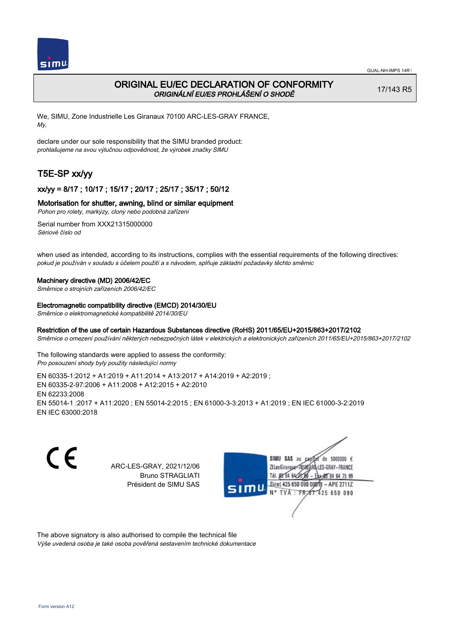

## ORIGINAL EU/EC DECLARATION OF CONFORMITY ORIGINÁLNÍ EU/ES PROHLÁŠENÍ O SHODĚ

17/143 R5

We, SIMU, Zone Industrielle Les Giranaux 70100 ARC-LES-GRAY FRANCE, My,

declare under our sole responsibility that the SIMU branded product: prohlašujeme na svou výlučnou odpovědnost, že výrobek značky SIMU

# T5E-SP xx/yy

## xx/yy = 8/17 ; 10/17 ; 15/17 ; 20/17 ; 25/17 ; 35/17 ; 50/12

### Motorisation for shutter, awning, blind or similar equipment

Pohon pro rolety, markýzy, clony nebo podobná zařízení

Serial number from XXX21315000000 Sériové číslo od

when used as intended, according to its instructions, complies with the essential requirements of the following directives: pokud je používán v souladu s účelem použití a s návodem, splňuje základní požadavky těchto směrnic

#### Machinery directive (MD) 2006/42/EC

Směrnice o strojních zařízeních 2006/42/EC

#### Electromagnetic compatibility directive (EMCD) 2014/30/EU

Směrnice o elektromagnetické kompatibilitě 2014/30/EU

#### Restriction of the use of certain Hazardous Substances directive (RoHS) 2011/65/EU+2015/863+2017/2102

Směrnice o omezení používání některých nebezpečných látek v elektrických a elektronických zařízeních 2011/65/EU+2015/863+2017/2102

The following standards were applied to assess the conformity: Pro posouzení shody byly použity následující normy

EN 60335‑1:2012 + A1:2019 + A11:2014 + A13:2017 + A14:2019 + A2:2019 ; EN 60335‑2‑97:2006 + A11:2008 + A12:2015 + A2:2010 EN 62233:2008 EN 55014‑1 :2017 + A11:2020 ; EN 55014‑2:2015 ; EN 61000‑3‑3:2013 + A1:2019 ; EN IEC 61000‑3‑2:2019 EN IEC 63000:2018

C E

ARC-LES-GRAY, 2021/12/06 Bruno STRAGLIATI Président de SIMU SAS



The above signatory is also authorised to compile the technical file Výše uvedená osoba je také osoba pověřená sestavením technické dokumentace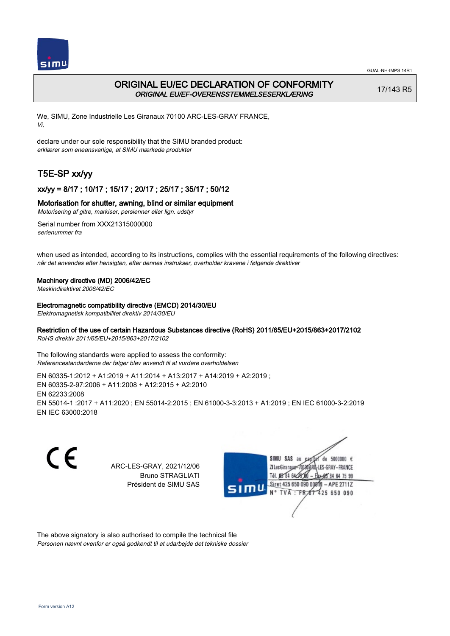

## ORIGINAL EU/EC DECLARATION OF CONFORMITY ORIGINAL EU/EF-OVERENSSTEMMELSESERKLÆRING

17/143 R5

We, SIMU, Zone Industrielle Les Giranaux 70100 ARC-LES-GRAY FRANCE, Vi,

declare under our sole responsibility that the SIMU branded product: erklærer som eneansvarlige, at SIMU mærkede produkter

# T5E-SP xx/yy

### xx/yy = 8/17 ; 10/17 ; 15/17 ; 20/17 ; 25/17 ; 35/17 ; 50/12

### Motorisation for shutter, awning, blind or similar equipment

Motorisering af gitre, markiser, persienner eller lign. udstyr

Serial number from XXX21315000000 serienummer fra

when used as intended, according to its instructions, complies with the essential requirements of the following directives: når det anvendes efter hensigten, efter dennes instrukser, overholder kravene i følgende direktiver

#### Machinery directive (MD) 2006/42/EC

Maskindirektivet 2006/42/EC

#### Electromagnetic compatibility directive (EMCD) 2014/30/EU

Elektromagnetisk kompatibilitet direktiv 2014/30/EU

### Restriction of the use of certain Hazardous Substances directive (RoHS) 2011/65/EU+2015/863+2017/2102

RoHS direktiv 2011/65/EU+2015/863+2017/2102

The following standards were applied to assess the conformity: Referencestandarderne der følger blev anvendt til at vurdere overholdelsen

EN 60335‑1:2012 + A1:2019 + A11:2014 + A13:2017 + A14:2019 + A2:2019 ; EN 60335‑2‑97:2006 + A11:2008 + A12:2015 + A2:2010 EN 62233:2008 EN 55014‑1 :2017 + A11:2020 ; EN 55014‑2:2015 ; EN 61000‑3‑3:2013 + A1:2019 ; EN IEC 61000‑3‑2:2019 EN IEC 63000:2018

C E de 5000000  $\epsilon$ SIMU SAS au ARC-LES-GRAY, 2021/12/06 71 les Giranaux</nux LES-GRAY-FRANCE Bruno STRAGLIATI Tél. 08 84 64 2 64 75 99 Président de SIMU SAS Siret 425 650 090 0081  $-$  APE 2711Z TVA: FR<sub>4</sub>57 425 650 090

The above signatory is also authorised to compile the technical file Personen nævnt ovenfor er også godkendt til at udarbejde det tekniske dossier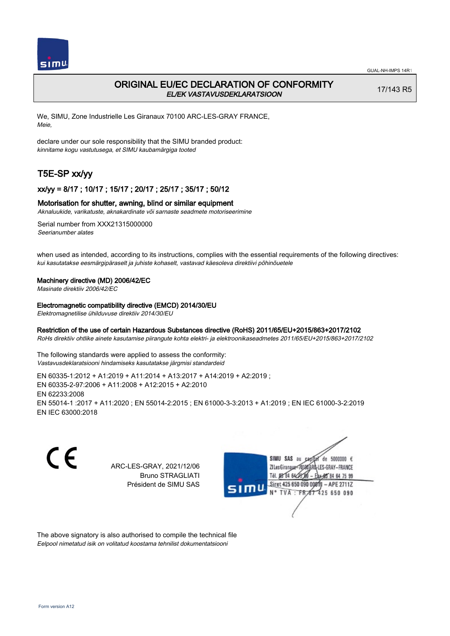

## ORIGINAL EU/EC DECLARATION OF CONFORMITY EL/EK VASTAVUSDEKLARATSIOON

17/143 R5

We, SIMU, Zone Industrielle Les Giranaux 70100 ARC-LES-GRAY FRANCE, Meie,

declare under our sole responsibility that the SIMU branded product: kinnitame kogu vastutusega, et SIMU kaubamärgiga tooted

# T5E-SP xx/yy

### xx/yy = 8/17 ; 10/17 ; 15/17 ; 20/17 ; 25/17 ; 35/17 ; 50/12

### Motorisation for shutter, awning, blind or similar equipment

Aknaluukide, varikatuste, aknakardinate või sarnaste seadmete motoriseerimine

Serial number from XXX21315000000 Seerianumber alates

when used as intended, according to its instructions, complies with the essential requirements of the following directives: kui kasutatakse eesmärgipäraselt ja juhiste kohaselt, vastavad käesoleva direktiivi põhinõuetele

### Machinery directive (MD) 2006/42/EC

Masinate direktiiv 2006/42/EC

#### Electromagnetic compatibility directive (EMCD) 2014/30/EU

Elektromagnetilise ühilduvuse direktiiv 2014/30/EU

### Restriction of the use of certain Hazardous Substances directive (RoHS) 2011/65/EU+2015/863+2017/2102

RoHs direktiiv ohtlike ainete kasutamise piirangute kohta elektri- ja elektroonikaseadmetes 2011/65/EU+2015/863+2017/2102

The following standards were applied to assess the conformity: Vastavusdeklaratsiooni hindamiseks kasutatakse järgmisi standardeid

EN 60335‑1:2012 + A1:2019 + A11:2014 + A13:2017 + A14:2019 + A2:2019 ; EN 60335‑2‑97:2006 + A11:2008 + A12:2015 + A2:2010 EN 62233:2008 EN 55014‑1 :2017 + A11:2020 ; EN 55014‑2:2015 ; EN 61000‑3‑3:2013 + A1:2019 ; EN IEC 61000‑3‑2:2019 EN IEC 63000:2018

C E

ARC-LES-GRAY, 2021/12/06 Bruno STRAGLIATI Président de SIMU SAS



The above signatory is also authorised to compile the technical file Eelpool nimetatud isik on volitatud koostama tehnilist dokumentatsiooni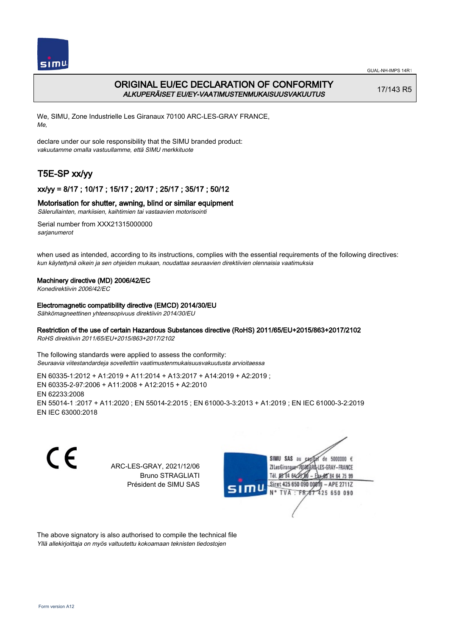

# ORIGINAL EU/EC DECLARATION OF CONFORMITY ALKUPERÄISET EU/EY-VAATIMUSTENMUKAISUUSVAKUUTUS

17/143 R5

We, SIMU, Zone Industrielle Les Giranaux 70100 ARC-LES-GRAY FRANCE, Me,

declare under our sole responsibility that the SIMU branded product: vakuutamme omalla vastuullamme, että SIMU merkkituote

# T5E-SP xx/yy

## xx/yy = 8/17 ; 10/17 ; 15/17 ; 20/17 ; 25/17 ; 35/17 ; 50/12

### Motorisation for shutter, awning, blind or similar equipment

Sälerullainten, markiisien, kaihtimien tai vastaavien motorisointi

Serial number from XXX21315000000 sarianumerot

when used as intended, according to its instructions, complies with the essential requirements of the following directives: kun käytettynä oikein ja sen ohjeiden mukaan, noudattaa seuraavien direktiivien olennaisia vaatimuksia

### Machinery directive (MD) 2006/42/EC

Konedirektiivin 2006/42/EC

### Electromagnetic compatibility directive (EMCD) 2014/30/EU

Sähkömagneettinen yhteensopivuus direktiivin 2014/30/EU

## Restriction of the use of certain Hazardous Substances directive (RoHS) 2011/65/EU+2015/863+2017/2102

RoHS direktiivin 2011/65/EU+2015/863+2017/2102

The following standards were applied to assess the conformity: Seuraavia viitestandardeja sovellettiin vaatimustenmukaisuusvakuutusta arvioitaessa

EN 60335‑1:2012 + A1:2019 + A11:2014 + A13:2017 + A14:2019 + A2:2019 ; EN 60335‑2‑97:2006 + A11:2008 + A12:2015 + A2:2010 EN 62233:2008 EN 55014‑1 :2017 + A11:2020 ; EN 55014‑2:2015 ; EN 61000‑3‑3:2013 + A1:2019 ; EN IEC 61000‑3‑2:2019 EN IEC 63000:2018

C E SIMU SAS au  $de$  5000000  $f$ ARC-LES-GRAY, 2021/12/06 71 Les Giranaux 1018 LES-GRAY-FRANCE Bruno STRAGLIATI Tél. **DR R4 64/2** 64 75 99 Président de SIMU SAS Siret 425 650 090 0081  $-$  APE 2711Z TVA: FR 425 650 090

The above signatory is also authorised to compile the technical file Yllä allekirjoittaja on myös valtuutettu kokoamaan teknisten tiedostojen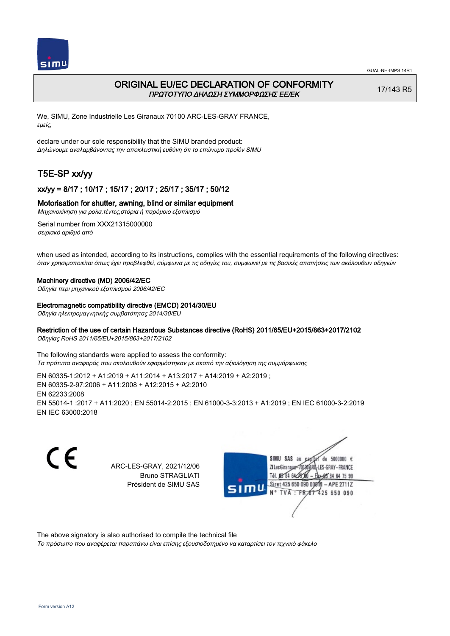

# ORIGINAL EU/EC DECLARATION OF CONFORMITY ΠΡΩΤΟΤΥΠΟ ΔΗΛΩΣΗ ΣΥΜΜΟΡΦΩΣΗΣ ΕΕ/EK

17/143 R5

We, SIMU, Zone Industrielle Les Giranaux 70100 ARC-LES-GRAY FRANCE, εμείς,

declare under our sole responsibility that the SIMU branded product: Δηλώνουμε αναλαμβάνοντας την αποκλειστική ευθύνη ότι το επώνυμο προϊόν SIMU

# T5E-SP xx/yy

## xx/yy = 8/17 ; 10/17 ; 15/17 ; 20/17 ; 25/17 ; 35/17 ; 50/12

### Motorisation for shutter, awning, blind or similar equipment

Μηχανοκίνηση για ρολα,τέντες,στόρια ή παρόμοιο εξοπλισμό

Serial number from XXX21315000000 σειριακό αριθμό από

when used as intended, according to its instructions, complies with the essential requirements of the following directives: όταν χρησιμοποιείται όπως έχει προβλεφθεί, σύμφωνα με τις οδηγίες του, συμφωνεί με τις βασικές απαιτήσεις των ακόλουθων οδηγιών

#### Machinery directive (MD) 2006/42/EC

Οδηγία περι μηχανικού εξοπλισμού 2006/42/EC

#### Electromagnetic compatibility directive (EMCD) 2014/30/EU

Οδηγία ηλεκτρομαγνητικής συμβατότητας 2014/30/EU

### Restriction of the use of certain Hazardous Substances directive (RoHS) 2011/65/EU+2015/863+2017/2102

Οδηγίας RoHS 2011/65/EU+2015/863+2017/2102

The following standards were applied to assess the conformity: Τα πρότυπα αναφοράς που ακολουθούν εφαρμόστηκαν με σκοπό την αξιολόγηση της συμμόρφωσης

EN 60335‑1:2012 + A1:2019 + A11:2014 + A13:2017 + A14:2019 + A2:2019 ; EN 60335‑2‑97:2006 + A11:2008 + A12:2015 + A2:2010 EN 62233:2008 EN 55014‑1 :2017 + A11:2020 ; EN 55014‑2:2015 ; EN 61000‑3‑3:2013 + A1:2019 ; EN IEC 61000‑3‑2:2019 EN IEC 63000:2018

C E SIMU SAS au de 5000000  $\epsilon$ ARC-LES-GRAY, 2021/12/06 ZI Les Giranaux</D180 LES-GRAY-FRANCE Bruno STRAGLIATI Tél. 08 84 64 28 64 75 99 Président de SIMU SAS Siret 425 650 090 0081  $-$  APE 2711Z TVA: FR  $\frac{1}{101}$  425 650 090

The above signatory is also authorised to compile the technical file

Το πρόσωπο που αναφέρεται παραπάνω είναι επίσης εξουσιοδοτημένο να καταρτίσει τον τεχνικό φάκελο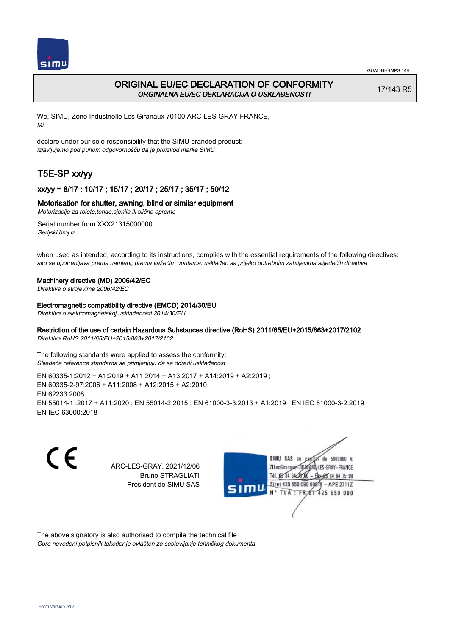

# ORIGINAL EU/EC DECLARATION OF CONFORMITY ORGINALNA EU/EC DEKLARACIJA O USKLAĐENOSTI

17/143 R5

We, SIMU, Zone Industrielle Les Giranaux 70100 ARC-LES-GRAY FRANCE, Mi,

declare under our sole responsibility that the SIMU branded product: izjavljujemo pod punom odgovornošču da je proizvod marke SIMU

# T5E-SP xx/yy

## xx/yy = 8/17 ; 10/17 ; 15/17 ; 20/17 ; 25/17 ; 35/17 ; 50/12

### Motorisation for shutter, awning, blind or similar equipment

Motorizacija za rolete,tende,sjenila ili slične opreme

Serial number from XXX21315000000 Serijski broj iz

when used as intended, according to its instructions, complies with the essential requirements of the following directives: ako se upotrebljava prema namjeni, prema važećim uputama, usklađen sa prijeko potrebnim zahtijevima slijedećih direktiva

### Machinery directive (MD) 2006/42/EC

Direktiva o strojevima 2006/42/EC

Electromagnetic compatibility directive (EMCD) 2014/30/EU

Direktiva o elektromagnetskoj usklađenosti 2014/30/EU

## Restriction of the use of certain Hazardous Substances directive (RoHS) 2011/65/EU+2015/863+2017/2102

Direktiva RoHS 2011/65/EU+2015/863+2017/2102

The following standards were applied to assess the conformity: Slijedeće reference standarda se primjenjuju da se odredi usklađenost

EN 60335‑1:2012 + A1:2019 + A11:2014 + A13:2017 + A14:2019 + A2:2019 ; EN 60335‑2‑97:2006 + A11:2008 + A12:2015 + A2:2010 EN 62233:2008 EN 55014‑1 :2017 + A11:2020 ; EN 55014‑2:2015 ; EN 61000‑3‑3:2013 + A1:2019 ; EN IEC 61000‑3‑2:2019 EN IEC 63000:2018

C E SIMU SAS au ARC-LES-GRAY, 2021/12/06 71 les Giranaux</nux Bruno STRAGLIATI Tél. 08 R4 64 2 Président de SIMU SAS TVA: FR<sub>4</sub>57



The above signatory is also authorised to compile the technical file Gore navedeni potpisnik također je ovlašten za sastavljanje tehničkog dokumenta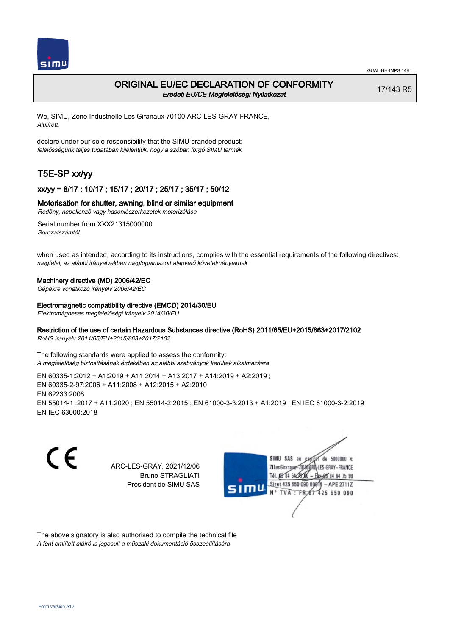

## ORIGINAL EU/EC DECLARATION OF CONFORMITY Eredeti EU/CE Megfelelőségi Nyilatkozat

17/143 R5

We, SIMU, Zone Industrielle Les Giranaux 70100 ARC-LES-GRAY FRANCE, Alulírott,

declare under our sole responsibility that the SIMU branded product: felelősségünk teljes tudatában kijelentjük, hogy a szóban forgó SIMU termék

# T5E-SP xx/yy

## xx/yy = 8/17 ; 10/17 ; 15/17 ; 20/17 ; 25/17 ; 35/17 ; 50/12

### Motorisation for shutter, awning, blind or similar equipment

Redőny, napellenző vagy hasonlószerkezetek motorizálása

Serial number from XXX21315000000 Sorozatszámtól

when used as intended, according to its instructions, complies with the essential requirements of the following directives: megfelel, az alábbi irányelvekben megfogalmazott alapvető követelményeknek

### Machinery directive (MD) 2006/42/EC

Gépekre vonatkozó irányelv 2006/42/EC

#### Electromagnetic compatibility directive (EMCD) 2014/30/EU

Elektromágneses megfelelőségi irányelv 2014/30/EU

### Restriction of the use of certain Hazardous Substances directive (RoHS) 2011/65/EU+2015/863+2017/2102

RoHS irányelv 2011/65/EU+2015/863+2017/2102

The following standards were applied to assess the conformity: A megfelelőség biztosításának érdekében az alábbi szabványok kerültek alkalmazásra

EN 60335‑1:2012 + A1:2019 + A11:2014 + A13:2017 + A14:2019 + A2:2019 ; EN 60335‑2‑97:2006 + A11:2008 + A12:2015 + A2:2010 EN 62233:2008 EN 55014‑1 :2017 + A11:2020 ; EN 55014‑2:2015 ; EN 61000‑3‑3:2013 + A1:2019 ; EN IEC 61000‑3‑2:2019 EN IEC 63000:2018

C E de 5000000  $\epsilon$ SIMU SAS au ARC-LES-GRAY, 2021/12/06 71 les Giranaux</nux LES-GRAY-FRANCE Bruno STRAGLIATI Tél. **DR R4 64-25** 64 75 99 Président de SIMU SAS Siret 425 650 090 0081  $-$  APE 2711Z TVA: FR 425 650 090

The above signatory is also authorised to compile the technical file A fent említett aláíró is jogosult a műszaki dokumentáció összeállítására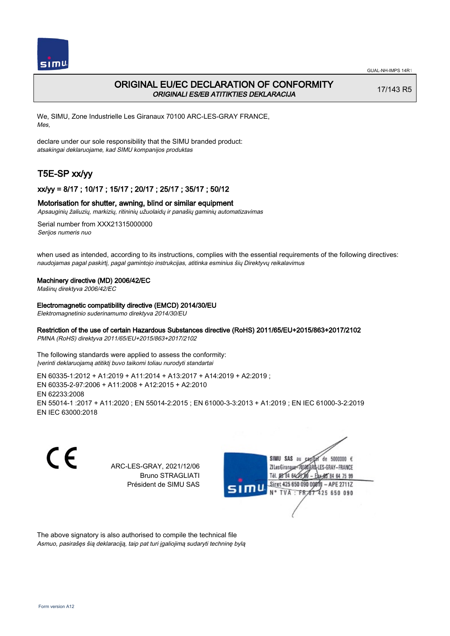

## ORIGINAL EU/EC DECLARATION OF CONFORMITY ORIGINALI ES/EB ATITIKTIES DEKLARACIJA

17/143 R5

We, SIMU, Zone Industrielle Les Giranaux 70100 ARC-LES-GRAY FRANCE, Mes,

declare under our sole responsibility that the SIMU branded product: atsakingai deklaruojame, kad SIMU kompanijos produktas

# T5E-SP xx/yy

### xx/yy = 8/17 ; 10/17 ; 15/17 ; 20/17 ; 25/17 ; 35/17 ; 50/12

### Motorisation for shutter, awning, blind or similar equipment

Apsauginių žaliuzių, markizių, ritininių užuolaidų ir panašių gaminių automatizavimas

Serial number from XXX21315000000 Serijos numeris nuo

when used as intended, according to its instructions, complies with the essential requirements of the following directives: naudojamas pagal paskirtį, pagal gamintojo instrukcijas, atitinka esminius šių Direktyvų reikalavimus

### Machinery directive (MD) 2006/42/EC

Mašinų direktyva 2006/42/EC

Electromagnetic compatibility directive (EMCD) 2014/30/EU

Elektromagnetinio suderinamumo direktyva 2014/30/EU

## Restriction of the use of certain Hazardous Substances directive (RoHS) 2011/65/EU+2015/863+2017/2102

PMNA (RoHS) direktyva 2011/65/EU+2015/863+2017/2102

The following standards were applied to assess the conformity: Įverinti deklaruojamą atitiktį buvo taikomi toliau nurodyti standartai

EN 60335‑1:2012 + A1:2019 + A11:2014 + A13:2017 + A14:2019 + A2:2019 ; EN 60335‑2‑97:2006 + A11:2008 + A12:2015 + A2:2010 EN 62233:2008 EN 55014‑1 :2017 + A11:2020 ; EN 55014‑2:2015 ; EN 61000‑3‑3:2013 + A1:2019 ; EN IEC 61000‑3‑2:2019 EN IEC 63000:2018

C E ARC-LES-GRAY, 2021/12/06 Bruno STRAGLIATI Président de SIMU SAS



The above signatory is also authorised to compile the technical file Asmuo, pasirašęs šią deklaraciją, taip pat turi įgaliojimą sudaryti techninę bylą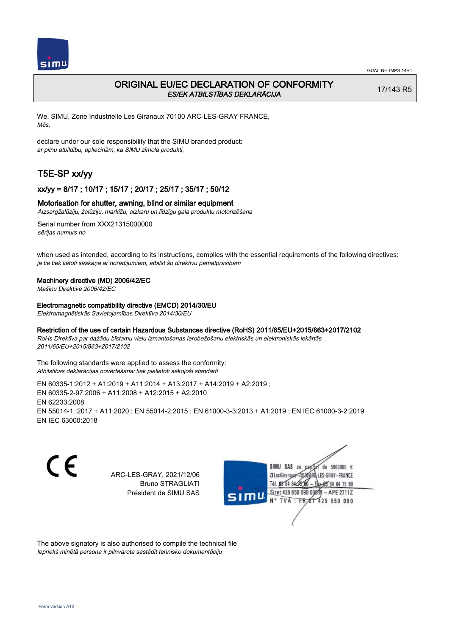

## ORIGINAL EU/EC DECLARATION OF CONFORMITY ES/EK ATBILSTĪBAS DEKLARĀCIJA

17/143 R5

We, SIMU, Zone Industrielle Les Giranaux 70100 ARC-LES-GRAY FRANCE, Mēs,

declare under our sole responsibility that the SIMU branded product: ar pilnu atbildību, apliecinām, ka SIMU zīmola produkti,

# T5E-SP xx/yy

### xx/yy = 8/17 ; 10/17 ; 15/17 ; 20/17 ; 25/17 ; 35/17 ; 50/12

### Motorisation for shutter, awning, blind or similar equipment

Aizsargžalūziju, žalūziju, markīžu, aizkaru un līdzīgu gala produktu motorizēšana

Serial number from XXX21315000000 sērijas numurs no

when used as intended, according to its instructions, complies with the essential requirements of the following directives: ja tie tiek lietoti saskaņā ar norādījumiem, atbilst šo direktīvu pamatprasībām

### Machinery directive (MD) 2006/42/EC

Mašīnu Direktīva 2006/42/EC

Electromagnetic compatibility directive (EMCD) 2014/30/EU

Elektromagnētiskās Savietojamības Direktīva 2014/30/EU

### Restriction of the use of certain Hazardous Substances directive (RoHS) 2011/65/EU+2015/863+2017/2102

RoHs Direktīva par dažādu bīstamu vielu izmantošanas ierobežošanu elektriskās un elektroniskās iekārtās 2011/65/EU+2015/863+2017/2102

The following standards were applied to assess the conformity: Atbilstības deklarācijas novērtēšanai tiek pielietoti sekojoši standarti

EN 60335‑1:2012 + A1:2019 + A11:2014 + A13:2017 + A14:2019 + A2:2019 ; EN 60335‑2‑97:2006 + A11:2008 + A12:2015 + A2:2010 EN 62233:2008 EN 55014‑1 :2017 + A11:2020 ; EN 55014‑2:2015 ; EN 61000‑3‑3:2013 + A1:2019 ; EN IEC 61000‑3‑2:2019 EN IEC 63000:2018

CE

ARC-LES-GRAY, 2021/12/06 Bruno STRAGLIATI Président de SIMU SAS



The above signatory is also authorised to compile the technical file Iepriekš minētā persona ir pilnvarota sastādīt tehnisko dokumentāciju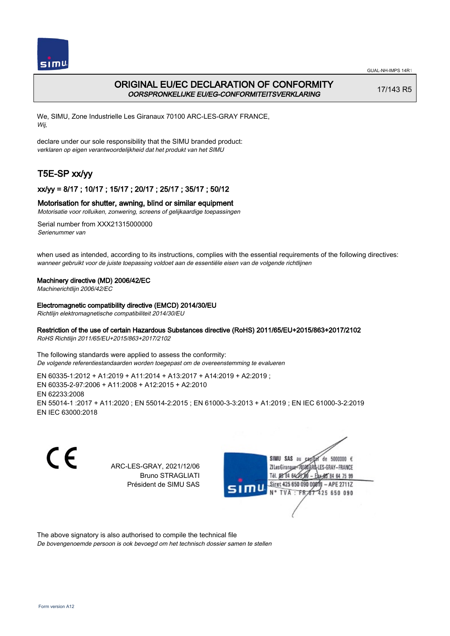

# ORIGINAL EU/EC DECLARATION OF CONFORMITY OORSPRONKELIJKE EU/EG-CONFORMITEITSVERKLARING

17/143 R5

We, SIMU, Zone Industrielle Les Giranaux 70100 ARC-LES-GRAY FRANCE, Wij,

declare under our sole responsibility that the SIMU branded product: verklaren op eigen verantwoordelijkheid dat het produkt van het SIMU

# T5E-SP xx/yy

## xx/yy = 8/17 ; 10/17 ; 15/17 ; 20/17 ; 25/17 ; 35/17 ; 50/12

### Motorisation for shutter, awning, blind or similar equipment

Motorisatie voor rolluiken, zonwering, screens of gelijkaardige toepassingen

Serial number from XXX21315000000 Serienummer van

when used as intended, according to its instructions, complies with the essential requirements of the following directives: wanneer gebruikt voor de juiste toepassing voldoet aan de essentiële eisen van de volgende richtlijnen

### Machinery directive (MD) 2006/42/EC

Machinerichtlijn 2006/42/EC

Electromagnetic compatibility directive (EMCD) 2014/30/EU

Richtlijn elektromagnetische compatibiliteit 2014/30/EU

### Restriction of the use of certain Hazardous Substances directive (RoHS) 2011/65/EU+2015/863+2017/2102

RoHS Richtlijn 2011/65/EU+2015/863+2017/2102

The following standards were applied to assess the conformity: De volgende referentiestandaarden worden toegepast om de overeenstemming te evalueren

EN 60335‑1:2012 + A1:2019 + A11:2014 + A13:2017 + A14:2019 + A2:2019 ; EN 60335‑2‑97:2006 + A11:2008 + A12:2015 + A2:2010 EN 62233:2008 EN 55014‑1 :2017 + A11:2020 ; EN 55014‑2:2015 ; EN 61000‑3‑3:2013 + A1:2019 ; EN IEC 61000‑3‑2:2019 EN IEC 63000:2018

C E ARC-LES-GRAY, 2021/12/06 Bruno STRAGLIATI Président de SIMU SAS



The above signatory is also authorised to compile the technical file

De bovengenoemde persoon is ook bevoegd om het technisch dossier samen te stellen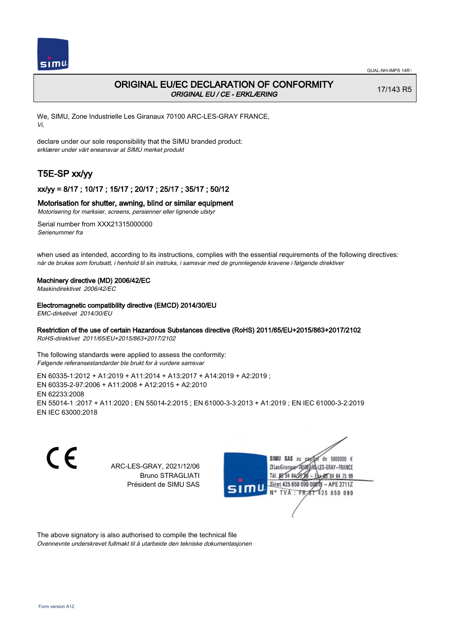

# ORIGINAL EU/EC DECLARATION OF CONFORMITY ORIGINAL EU / CE - ERKLÆRING

17/143 R5

We, SIMU, Zone Industrielle Les Giranaux 70100 ARC-LES-GRAY FRANCE, Vi,

declare under our sole responsibility that the SIMU branded product: erklærer under vårt eneansvar at SIMU merket produkt

# T5E-SP xx/yy

## xx/yy = 8/17 ; 10/17 ; 15/17 ; 20/17 ; 25/17 ; 35/17 ; 50/12

### Motorisation for shutter, awning, blind or similar equipment

Motorisering for marksier, screens, persienner eller lignende utstyr

Serial number from XXX21315000000 Serienummer fra

when used as intended, according to its instructions, complies with the essential requirements of the following directives: når de brukes som forutsatt, i henhold til sin instruks, i samsvar med de grunnlegende kravene i følgende direktiver

### Machinery directive (MD) 2006/42/EC

Maskindirektivet 2006/42/EC

### Electromagnetic compatibility directive (EMCD) 2014/30/EU

EMC-dirketivet 2014/30/EU

### Restriction of the use of certain Hazardous Substances directive (RoHS) 2011/65/EU+2015/863+2017/2102

RoHS-direktivet 2011/65/EU+2015/863+2017/2102

The following standards were applied to assess the conformity: Følgende referansestandarder ble brukt for å vurdere samsvar

EN 60335‑1:2012 + A1:2019 + A11:2014 + A13:2017 + A14:2019 + A2:2019 ; EN 60335‑2‑97:2006 + A11:2008 + A12:2015 + A2:2010 EN 62233:2008 EN 55014‑1 :2017 + A11:2020 ; EN 55014‑2:2015 ; EN 61000‑3‑3:2013 + A1:2019 ; EN IEC 61000‑3‑2:2019 EN IEC 63000:2018

C E ARC-LES-GRAY, 2021/12/06 Bruno STRAGLIATI Président de SIMU SAS



The above signatory is also authorised to compile the technical file Ovennevnte underskrevet fullmakt til å utarbeide den tekniske dokumentasjonen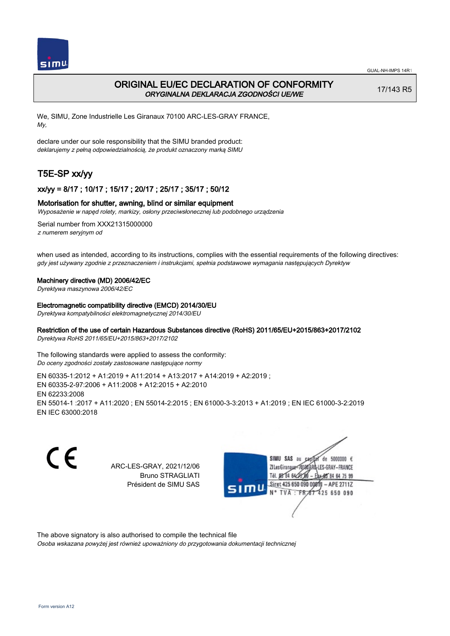

## ORIGINAL EU/EC DECLARATION OF CONFORMITY ORYGINALNA DEKLARACJA ZGODNOŚCI UE/WE

17/143 R5

We, SIMU, Zone Industrielle Les Giranaux 70100 ARC-LES-GRAY FRANCE, My,

declare under our sole responsibility that the SIMU branded product: deklarujemy z pełną odpowiedzialnością, że produkt oznaczony marką SIMU

# T5E-SP xx/yy

### xx/yy = 8/17 ; 10/17 ; 15/17 ; 20/17 ; 25/17 ; 35/17 ; 50/12

### Motorisation for shutter, awning, blind or similar equipment

Wyposażenie w napęd rolety, markizy, osłony przeciwsłonecznej lub podobnego urządzenia

Serial number from XXX21315000000 z numerem seryjnym od

when used as intended, according to its instructions, complies with the essential requirements of the following directives: gdy jest używany zgodnie z przeznaczeniem i instrukcjami, spełnia podstawowe wymagania następujących Dyrektyw

#### Machinery directive (MD) 2006/42/EC

Dyrektywa maszynowa 2006/42/EC

#### Electromagnetic compatibility directive (EMCD) 2014/30/EU

Dyrektywa kompatybilności elektromagnetycznej 2014/30/EU

### Restriction of the use of certain Hazardous Substances directive (RoHS) 2011/65/EU+2015/863+2017/2102

Dyrektywa RoHS 2011/65/EU+2015/863+2017/2102

The following standards were applied to assess the conformity: Do oceny zgodności zostały zastosowane następujące normy

EN 60335‑1:2012 + A1:2019 + A11:2014 + A13:2017 + A14:2019 + A2:2019 ; EN 60335‑2‑97:2006 + A11:2008 + A12:2015 + A2:2010 EN 62233:2008 EN 55014‑1 :2017 + A11:2020 ; EN 55014‑2:2015 ; EN 61000‑3‑3:2013 + A1:2019 ; EN IEC 61000‑3‑2:2019 EN IEC 63000:2018

C E ARC-LES-GRAY, 2021/12/06 Bruno STRAGLIATI Président de SIMU SAS



The above signatory is also authorised to compile the technical file

Osoba wskazana powyżej jest również upoważniony do przygotowania dokumentacji technicznej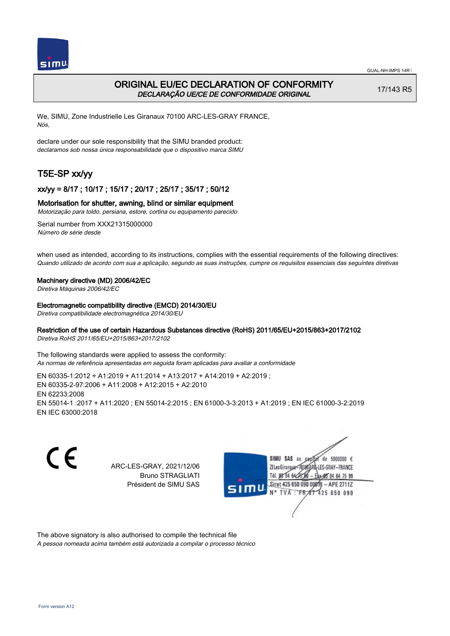

# ORIGINAL EU/EC DECLARATION OF CONFORMITY DECLARAÇÃO UE/CE DE CONFORMIDADE ORIGINAL

17/143 R5

We, SIMU, Zone Industrielle Les Giranaux 70100 ARC-LES-GRAY FRANCE, Nós,

declare under our sole responsibility that the SIMU branded product: declaramos sob nossa única responsabilidade que o dispositivo marca SIMU

# T5E-SP xx/yy

### xx/yy = 8/17 ; 10/17 ; 15/17 ; 20/17 ; 25/17 ; 35/17 ; 50/12

### Motorisation for shutter, awning, blind or similar equipment

Motorização para toldo, persiana, estore, cortina ou equipamento parecido

Serial number from XXX21315000000 Número de série desde

when used as intended, according to its instructions, complies with the essential requirements of the following directives: Quando utilizado de acordo com sua a aplicação, segundo as suas instruções, cumpre os requisitos essenciais das seguintes diretivas

### Machinery directive (MD) 2006/42/EC

Diretiva Máquinas 2006/42/EC

Electromagnetic compatibility directive (EMCD) 2014/30/EU

Diretiva compatibilidade electromagnética 2014/30/EU

### Restriction of the use of certain Hazardous Substances directive (RoHS) 2011/65/EU+2015/863+2017/2102

Diretiva RoHS 2011/65/EU+2015/863+2017/2102

The following standards were applied to assess the conformity: As normas de referência apresentadas em seguida foram aplicadas para avaliar a conformidade

EN 60335‑1:2012 + A1:2019 + A11:2014 + A13:2017 + A14:2019 + A2:2019 ; EN 60335‑2‑97:2006 + A11:2008 + A12:2015 + A2:2010 EN 62233:2008 EN 55014‑1 :2017 + A11:2020 ; EN 55014‑2:2015 ; EN 61000‑3‑3:2013 + A1:2019 ; EN IEC 61000‑3‑2:2019 EN IEC 63000:2018

C E SIMU SAS au  $de$  5000000  $f$ ARC-LES-GRAY, 2021/12/06 71 Les Giranaux 1018 LES-GRAY-FRANCE Bruno STRAGLIATI Tél. **DR R4 64-25** 64 75 99 Président de SIMU SAS Siret 425 650 090 0081  $-$  APE 2711Z TVA: FR 425 650 090

The above signatory is also authorised to compile the technical file

A pessoa nomeada acima também está autorizada a compilar o processo técnico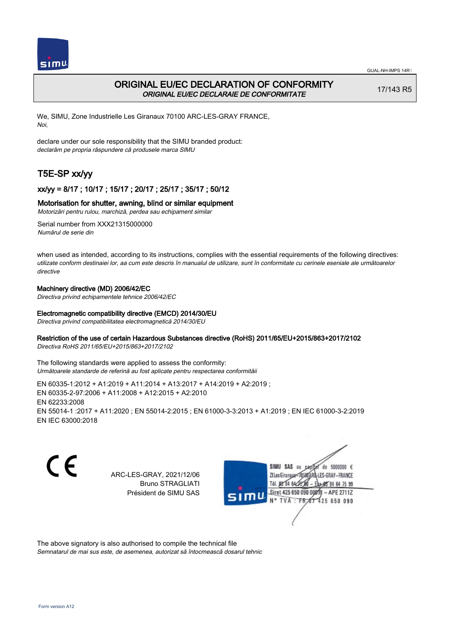

# ORIGINAL EU/EC DECLARATION OF CONFORMITY ORIGINAL EU/EC DECLARAIE DE CONFORMITATE

17/143 R5

We, SIMU, Zone Industrielle Les Giranaux 70100 ARC-LES-GRAY FRANCE, Noi,

declare under our sole responsibility that the SIMU branded product: declarăm pe propria răspundere că produsele marca SIMU

# T5E-SP xx/yy

## xx/yy = 8/17 ; 10/17 ; 15/17 ; 20/17 ; 25/17 ; 35/17 ; 50/12

### Motorisation for shutter, awning, blind or similar equipment

Motorizări pentru rulou, marchiză, perdea sau echipament similar

Serial number from XXX21315000000 Numărul de serie din

when used as intended, according to its instructions, complies with the essential requirements of the following directives: utilizate conform destinaiei lor, aa cum este descris în manualul de utilizare, sunt în conformitate cu cerinele eseniale ale următoarelor directive

### Machinery directive (MD) 2006/42/EC

Directiva privind echipamentele tehnice 2006/42/EC

### Electromagnetic compatibility directive (EMCD) 2014/30/EU

Directiva privind compatibilitatea electromagnetică 2014/30/EU

### Restriction of the use of certain Hazardous Substances directive (RoHS) 2011/65/EU+2015/863+2017/2102

Directiva RoHS 2011/65/EU+2015/863+2017/2102

The following standards were applied to assess the conformity: Următoarele standarde de referină au fost aplicate pentru respectarea conformităii

EN 60335‑1:2012 + A1:2019 + A11:2014 + A13:2017 + A14:2019 + A2:2019 ; EN 60335‑2‑97:2006 + A11:2008 + A12:2015 + A2:2010 EN 62233:2008 EN 55014‑1 :2017 + A11:2020 ; EN 55014‑2:2015 ; EN 61000‑3‑3:2013 + A1:2019 ; EN IEC 61000‑3‑2:2019 EN IEC 63000:2018

CE

ARC-LES-GRAY, 2021/12/06 Bruno STRAGLIATI Président de SIMU SAS



The above signatory is also authorised to compile the technical file

Semnatarul de mai sus este, de asemenea, autorizat să întocmească dosarul tehnic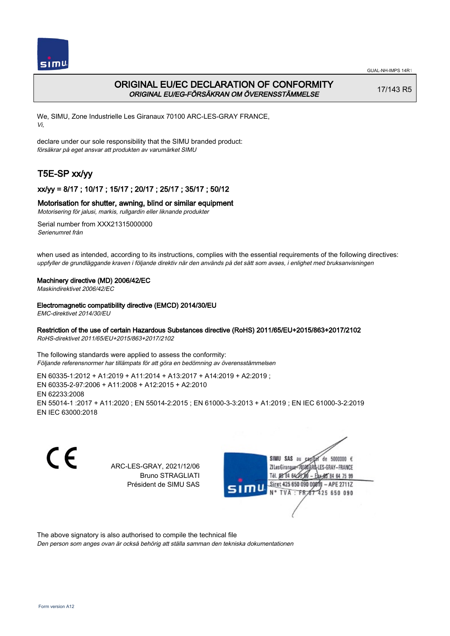

# ORIGINAL EU/EC DECLARATION OF CONFORMITY ORIGINAL EU/EG-FÖRSÄKRAN OM ÖVERENSSTÄMMELSE

17/143 R5

We, SIMU, Zone Industrielle Les Giranaux 70100 ARC-LES-GRAY FRANCE, Vi,

declare under our sole responsibility that the SIMU branded product: försäkrar på eget ansvar att produkten av varumärket SIMU

# T5E-SP xx/yy

## xx/yy = 8/17 ; 10/17 ; 15/17 ; 20/17 ; 25/17 ; 35/17 ; 50/12

### Motorisation for shutter, awning, blind or similar equipment

Motorisering för jalusi, markis, rullgardin eller liknande produkter

Serial number from XXX21315000000 Serienumret från

when used as intended, according to its instructions, complies with the essential requirements of the following directives: uppfyller de grundläggande kraven i följande direktiv när den används på det sätt som avses, i enlighet med bruksanvisningen

### Machinery directive (MD) 2006/42/EC

Maskindirektivet 2006/42/EC

### Electromagnetic compatibility directive (EMCD) 2014/30/EU

EMC-direktivet 2014/30/EU

### Restriction of the use of certain Hazardous Substances directive (RoHS) 2011/65/EU+2015/863+2017/2102

RoHS-direktivet 2011/65/EU+2015/863+2017/2102

The following standards were applied to assess the conformity: Följande referensnormer har tillämpats för att göra en bedömning av överensstämmelsen

EN 60335‑1:2012 + A1:2019 + A11:2014 + A13:2017 + A14:2019 + A2:2019 ; EN 60335‑2‑97:2006 + A11:2008 + A12:2015 + A2:2010 EN 62233:2008 EN 55014‑1 :2017 + A11:2020 ; EN 55014‑2:2015 ; EN 61000‑3‑3:2013 + A1:2019 ; EN IEC 61000‑3‑2:2019 EN IEC 63000:2018

C E de 5000000  $\epsilon$ SIMU SAS au ARC-LES-GRAY, 2021/12/06 71 les Giranaux</nux LES-GRAY-FRANCE Bruno STRAGLIATI Tél. 08 84 64 2 64 75 99 Président de SIMU SAS Siret 425 650 090 0081  $-$  APE 2711Z **TVA FR** 425 650 090

The above signatory is also authorised to compile the technical file

Den person som anges ovan är också behörig att ställa samman den tekniska dokumentationen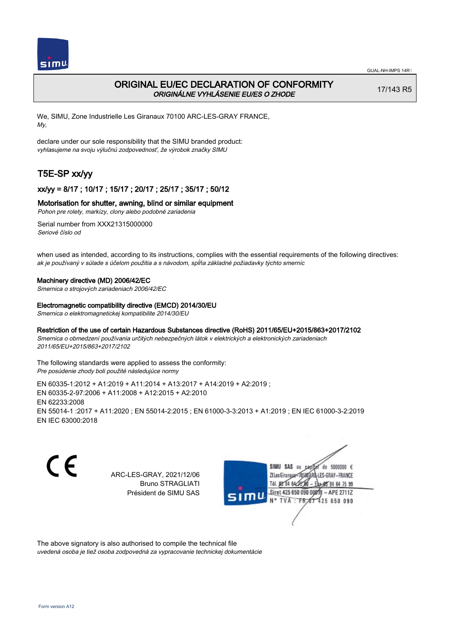

## ORIGINAL EU/EC DECLARATION OF CONFORMITY ORIGINÁLNE VYHLÁSENIE EU/ES O ZHODE

17/143 R5

We, SIMU, Zone Industrielle Les Giranaux 70100 ARC-LES-GRAY FRANCE, My,

declare under our sole responsibility that the SIMU branded product: vyhlasujeme na svoju výlučnú zodpovednosť, že výrobok značky SIMU

# T5E-SP xx/yy

### xx/yy = 8/17 ; 10/17 ; 15/17 ; 20/17 ; 25/17 ; 35/17 ; 50/12

### Motorisation for shutter, awning, blind or similar equipment

Pohon pre rolety, markízy, clony alebo podobné zariadenia

Serial number from XXX21315000000 Seriové číslo od

when used as intended, according to its instructions, complies with the essential requirements of the following directives: ak je používaný v súlade s účelom použitia a s návodom, spĺňa základné požiadavky týchto smerníc

#### Machinery directive (MD) 2006/42/EC

Smernica o strojových zariadeniach 2006/42/EC

#### Electromagnetic compatibility directive (EMCD) 2014/30/EU

Smernica o elektromagnetickej kompatibilite 2014/30/EU

### Restriction of the use of certain Hazardous Substances directive (RoHS) 2011/65/EU+2015/863+2017/2102

Smernica o obmedzení používania určitých nebezpečných látok v elektrických a elektronických zariadeniach 2011/65/EU+2015/863+2017/2102

The following standards were applied to assess the conformity: Pre posúdenie zhody boli použité následujúce normy

EN 60335‑1:2012 + A1:2019 + A11:2014 + A13:2017 + A14:2019 + A2:2019 ; EN 60335‑2‑97:2006 + A11:2008 + A12:2015 + A2:2010 EN 62233:2008 EN 55014‑1 :2017 + A11:2020 ; EN 55014‑2:2015 ; EN 61000‑3‑3:2013 + A1:2019 ; EN IEC 61000‑3‑2:2019 EN IEC 63000:2018

CE

ARC-LES-GRAY, 2021/12/06 Bruno STRAGLIATI Président de SIMU SAS



The above signatory is also authorised to compile the technical file

uvedená osoba je tiež osoba zodpovedná za vypracovanie technickej dokumentácie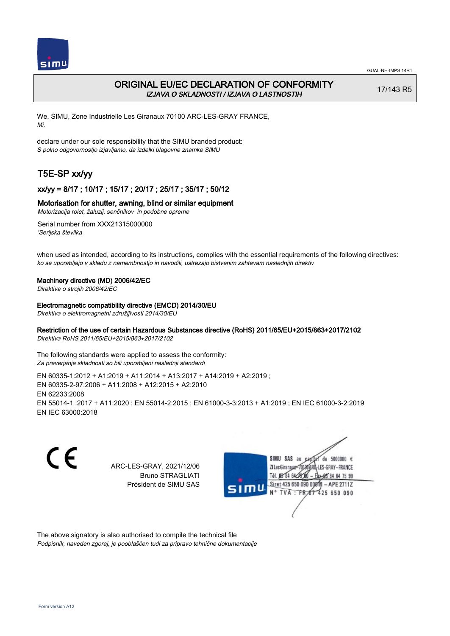

# ORIGINAL EU/EC DECLARATION OF CONFORMITY IZJAVA O SKLADNOSTI / IZJAVA O LASTNOSTIH

17/143 R5

We, SIMU, Zone Industrielle Les Giranaux 70100 ARC-LES-GRAY FRANCE, Mi,

declare under our sole responsibility that the SIMU branded product: S polno odgovornostjo izjavljamo, da izdelki blagovne znamke SIMU

# T5E-SP xx/yy

## xx/yy = 8/17 ; 10/17 ; 15/17 ; 20/17 ; 25/17 ; 35/17 ; 50/12

### Motorisation for shutter, awning, blind or similar equipment

Motorizacija rolet, žaluzij, senčnikov in podobne opreme

Serial number from XXX21315000000 'Serijska številka

when used as intended, according to its instructions, complies with the essential requirements of the following directives: ko se uporabljajo v skladu z namembnostjo in navodili, ustrezajo bistvenim zahtevam naslednjih direktiv

#### Machinery directive (MD) 2006/42/EC

Direktiva o strojih 2006/42/EC

#### Electromagnetic compatibility directive (EMCD) 2014/30/EU

Direktiva o elektromagnetni združljivosti 2014/30/EU

## Restriction of the use of certain Hazardous Substances directive (RoHS) 2011/65/EU+2015/863+2017/2102

Direktiva RoHS 2011/65/EU+2015/863+2017/2102

The following standards were applied to assess the conformity: Za preverjanje skladnosti so bili uporabljeni naslednji standardi

EN 60335‑1:2012 + A1:2019 + A11:2014 + A13:2017 + A14:2019 + A2:2019 ; EN 60335‑2‑97:2006 + A11:2008 + A12:2015 + A2:2010 EN 62233:2008 EN 55014‑1 :2017 + A11:2020 ; EN 55014‑2:2015 ; EN 61000‑3‑3:2013 + A1:2019 ; EN IEC 61000‑3‑2:2019 EN IEC 63000:2018

C E SIMU SAS au de 5000000  $\epsilon$ ARC-LES-GRAY, 2021/12/06 71 les Giranaux</nux LES-GRAY-FRANCE Bruno STRAGLIATI Tél. 08 84 64 25 64 75 99 Président de SIMU SAS Siret 425 650 090 0081  $-$  APE 2711Z TVA: FR<sub>4</sub>57 425 650 090

The above signatory is also authorised to compile the technical file Podpisnik, naveden zgoraj, je pooblaščen tudi za pripravo tehnične dokumentacije